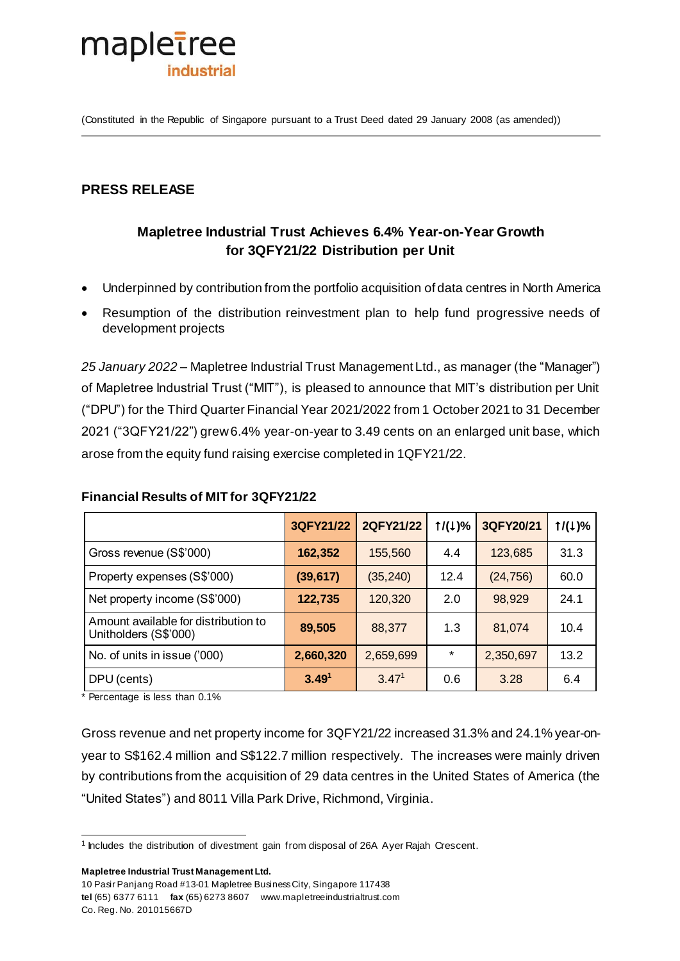

(Constituted in the Republic of Singapore pursuant to a Trust Deed dated 29 January 2008 (as amended))

# **PRESS RELEASE**

# **Mapletree Industrial Trust Achieves 6.4% Year-on-Year Growth for 3QFY21/22 Distribution per Unit**

- Underpinned by contribution from the portfolio acquisition of data centres in North America
- Resumption of the distribution reinvestment plan to help fund progressive needs of development projects

*25 January 2022* – Mapletree Industrial Trust Management Ltd., as manager (the "Manager") of Mapletree Industrial Trust ("MIT"), is pleased to announce that MIT's distribution per Unit ("DPU") for the Third Quarter Financial Year 2021/2022 from 1 October 2021 to 31 December 2021 ("3QFY21/22") grew 6.4% year-on-year to 3.49 cents on an enlarged unit base, which arose from the equity fund raising exercise completed in 1QFY21/22.

|                                                               | 3QFY21/22         | 2QFY21/22         | 1/(1)%  | 3QFY20/21 | 1/(1)% |
|---------------------------------------------------------------|-------------------|-------------------|---------|-----------|--------|
| Gross revenue (S\$'000)                                       | 162,352           | 155,560           | 4.4     | 123,685   | 31.3   |
| Property expenses (S\$'000)                                   | (39, 617)         | (35, 240)         | 12.4    | (24, 756) | 60.0   |
| Net property income (S\$'000)                                 | 122,735           | 120,320           | 2.0     | 98,929    | 24.1   |
| Amount available for distribution to<br>Unitholders (S\$'000) | 89,505            | 88,377            | 1.3     | 81,074    | 10.4   |
| No. of units in issue ('000)                                  | 2,660,320         | 2,659,699         | $\star$ | 2,350,697 | 13.2   |
| DPU (cents)                                                   | 3.49 <sup>1</sup> | 3.47 <sup>1</sup> | 0.6     | 3.28      | 6.4    |

#### **Financial Results of MIT for 3QFY21/22**

<span id="page-0-0"></span>\* Percentage is less than 0.1%

Gross revenue and net property income for 3QFY21/22 increased 31.3% and 24.1% year-onyear to S\$162.4 million and S\$122.7 million respectively. The increases were mainly driven by contributions from the acquisition of 29 data centres in the United States of America (the "United States") and 8011 Villa Park Drive, Richmond, Virginia.

**Mapletree Industrial Trust Management Ltd.** 

<sup>.</sup> <sup>1</sup> Includes the distribution of divestment gain from disposal of 26A Ayer Rajah Crescent.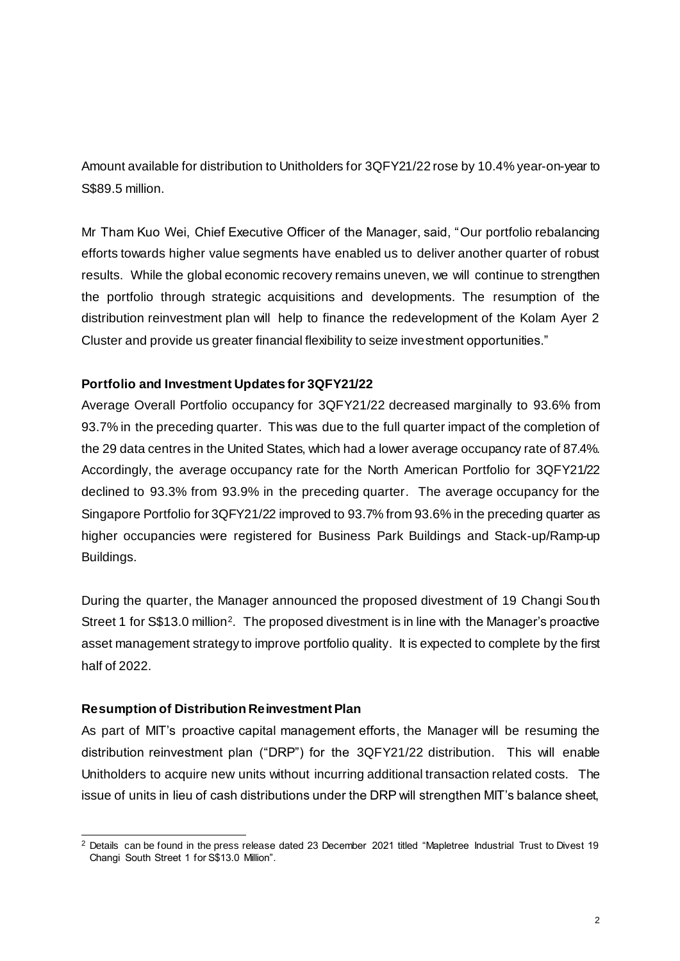Amount available for distribution to Unitholders for 3QFY21/22 rose by 10.4% year-on-year to S\$89.5 million.

Mr Tham Kuo Wei, Chief Executive Officer of the Manager, said, "Our portfolio rebalancing efforts towards higher value segments have enabled us to deliver another quarter of robust results. While the global economic recovery remains uneven, we will continue to strengthen the portfolio through strategic acquisitions and developments. The resumption of the distribution reinvestment plan will help to finance the redevelopment of the Kolam Ayer 2 Cluster and provide us greater financial flexibility to seize investment opportunities."

### **Portfolio and Investment Updates for 3QFY21/22**

Average Overall Portfolio occupancy for 3QFY21/22 decreased marginally to 93.6% from 93.7% in the preceding quarter. This was due to the full quarter impact of the completion of the 29 data centres in the United States, which had a lower average occupancy rate of 87.4%. Accordingly, the average occupancy rate for the North American Portfolio for 3QFY21/22 declined to 93.3% from 93.9% in the preceding quarter. The average occupancy for the Singapore Portfolio for 3QFY21/22 improved to 93.7% from 93.6% in the preceding quarter as higher occupancies were registered for Business Park Buildings and Stack-up/Ramp-up Buildings.

During the quarter, the Manager announced the proposed divestment of 19 Changi South Street 1 for S\$13.0 million<sup>2</sup>. The proposed divestment is in line with the Manager's proactive asset management strategy to improve portfolio quality. It is expected to complete by the first half of 2022.

### **Resumption of Distribution Reinvestment Plan**

As part of MIT's proactive capital management efforts, the Manager will be resuming the distribution reinvestment plan ("DRP") for the 3QFY21/22 distribution. This will enable Unitholders to acquire new units without incurring additional transaction related costs. The issue of units in lieu of cash distributions under the DRP will strengthen MIT's balance sheet,

<sup>.</sup>  $2$  Details can be found in the press release dated 23 December 2021 titled "Mapletree Industrial Trust to Divest 19 Changi South Street 1 for S\$13.0 Million".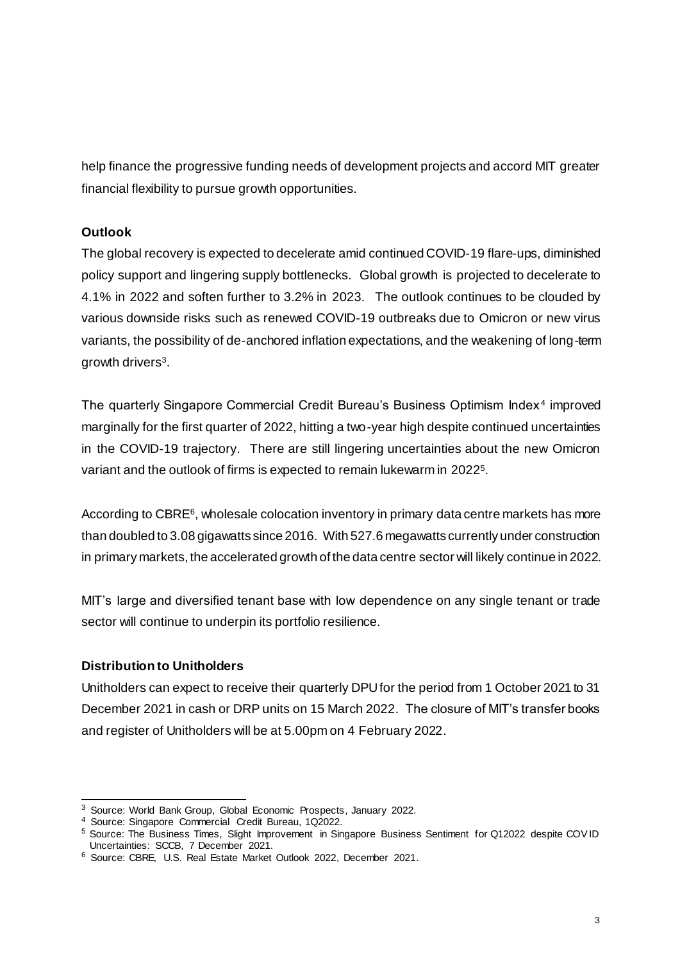help finance the progressive funding needs of development projects and accord MIT greater financial flexibility to pursue growth opportunities.

# **Outlook**

The global recovery is expected to decelerate amid continued COVID-19 flare-ups, diminished policy support and lingering supply bottlenecks. Global growth is projected to decelerate to 4.1% in 2022 and soften further to 3.2% in 2023. The outlook continues to be clouded by various downside risks such as renewed COVID-19 outbreaks due to Omicron or new virus variants, the possibility of de-anchored inflation expectations, and the weakening of long-term growth drivers<sup>3</sup>.

The quarterly Singapore Commercial Credit Bureau's Business Optimism Index<sup>4</sup> improved marginally for the first quarter of 2022, hitting a two-year high despite continued uncertainties in the COVID-19 trajectory. There are still lingering uncertainties about the new Omicron variant and the outlook of firms is expected to remain lukewarm in 2022<sup>5</sup>.

According to CBRE<sup>6</sup>, wholesale colocation inventory in primary data centre markets has more than doubled to 3.08 gigawatts since 2016. With 527.6 megawatts currently under construction in primary markets, the accelerated growth of the data centre sector will likely continue in 2022.

MIT's large and diversified tenant base with low dependence on any single tenant or trade sector will continue to underpin its portfolio resilience.

### **Distribution to Unitholders**

Unitholders can expect to receive their quarterly DPU for the period from 1 October 2021 to 31 December 2021 in cash or DRP units on 15 March 2022. The closure of MIT's transfer books and register of Unitholders will be at 5.00pm on 4 February 2022.

<sup>-</sup><sup>3</sup> Source: World Bank Group, Global Economic Prospects, January 2022.

<sup>4</sup> Source: Singapore Commercial Credit Bureau, 1Q2022.

<sup>5</sup> Source: The Business Times, Slight Improvement in Singapore Business Sentiment for Q12022 despite COV ID Uncertainties: SCCB, 7 December 2021.

<sup>6</sup> Source: CBRE, U.S. Real Estate Market Outlook 2022, December 2021.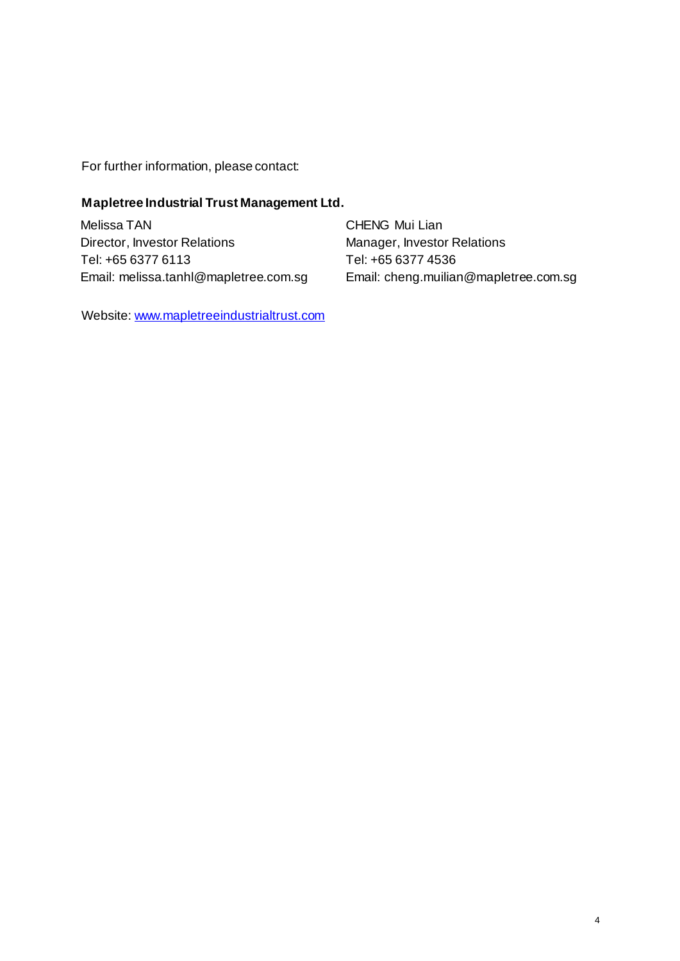For further information, please contact:

### **Mapletree Industrial Trust Management Ltd.**

Melissa TAN Director, Investor Relations Tel: +65 6377 6113 Email: melissa.tanhl@mapletree.com.sg

CHENG Mui Lian Manager, Investor Relations Tel: +65 6377 4536 Email: cheng.muilian@mapletree.com.sg

Website[: www.mapletreeindustrialtrust.com](http://www.mapletreeindustrialtrust.com/)